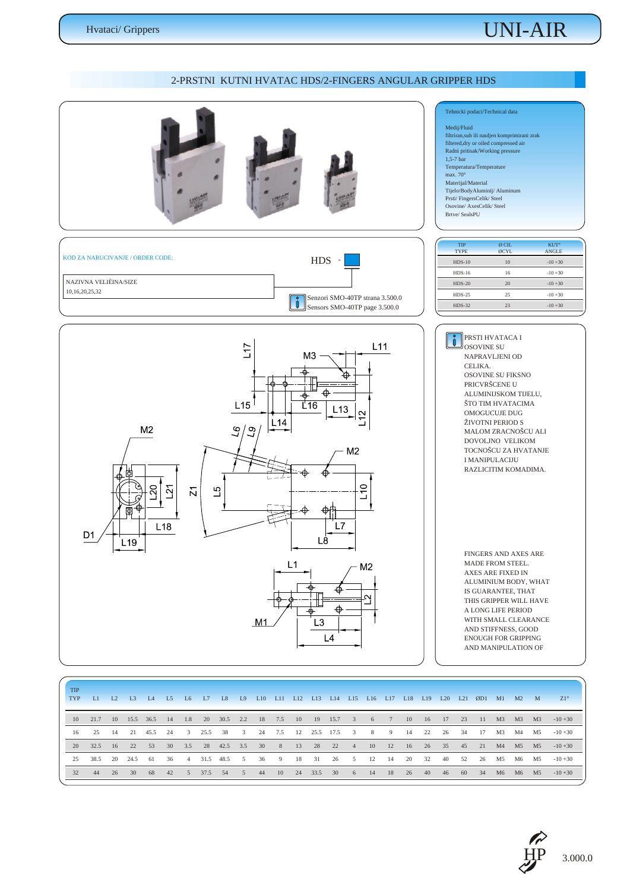### *UNI-AIR*

### *2-PRSTNI KUTNI HVATAC HDS/2-FINGERS ANGULAR GRIPPER HDS*



| <b>TIP</b><br><b>TYP</b> | L1         | L <sub>2</sub> | L <sub>3</sub> | IA              | $\overline{1.5}$ | L <sub>6</sub>            | L7      | L <sub>8</sub> | L <sub>9</sub>          | L10 | L11       | L12     | L13 | L14             |          |    |       | L15 L16 L17 L18 L19 |    |       |       | L20 L21 ØD1 M1 M2 M        |    |          |    | $Z1^\circ$ |
|--------------------------|------------|----------------|----------------|-----------------|------------------|---------------------------|---------|----------------|-------------------------|-----|-----------|---------|-----|-----------------|----------|----|-------|---------------------|----|-------|-------|----------------------------|----|----------|----|------------|
|                          | 10 21.7    |                | 10 15.5 36.5   |                 | 14               | 1.8                       |         | 20 30.5 2.2    |                         |     | 18 7.5 10 |         |     | 19 15.7 3 6 7   |          |    |       | $10 \t 16$          |    | 17 23 |       | 11 M3 M3 M3                |    |          |    | $-10+30$   |
| 16                       | 25         | 14             | 2.1            | 45.5 24         |                  | $\overline{\phantom{a}3}$ | 25.5 38 |                | $\overline{\mathbf{3}}$ |     | 24 7.5    | 12      |     | 25.5 17.5       |          |    | 3 8 9 | 14                  | 22 | 26 34 |       | 17                         | M3 | M4       | M5 | $-10+30$   |
|                          | 20 32.5    | <sup>16</sup>  | $-22$          | 53 <sup>°</sup> |                  | 30 3.5                    |         | 28 42.5 3.5    |                         |     |           |         |     | 30 8 13 28 22   | 4 10     |    |       |                     |    |       |       | 12 16 26 35 45 21 M4 M5 M5 |    |          |    | $-10+30$   |
|                          | 25 38.5 20 |                | 24.5           | - 61            | -36              | $\sim$ 4                  |         | 31.5 48.5 5    |                         | 36  | 9         | - 18    | 31  | 26              | $\sim$ 5 | 12 | - 14  | 20                  | 32 |       | 40 52 | 26                         |    | M5 M6 M5 |    | $-10+30$   |
| 32                       | 44         |                | 26 30          |                 |                  | 68 42 5                   | 37.5 54 |                | $5\qquad 44$            |     | 10        | 24 33.5 |     | 30 <sup>°</sup> | 6 14     |    | 18    | 26 40               |    |       | 46 60 | 34                         |    | M6 M6 M5 |    | $-10+30$   |

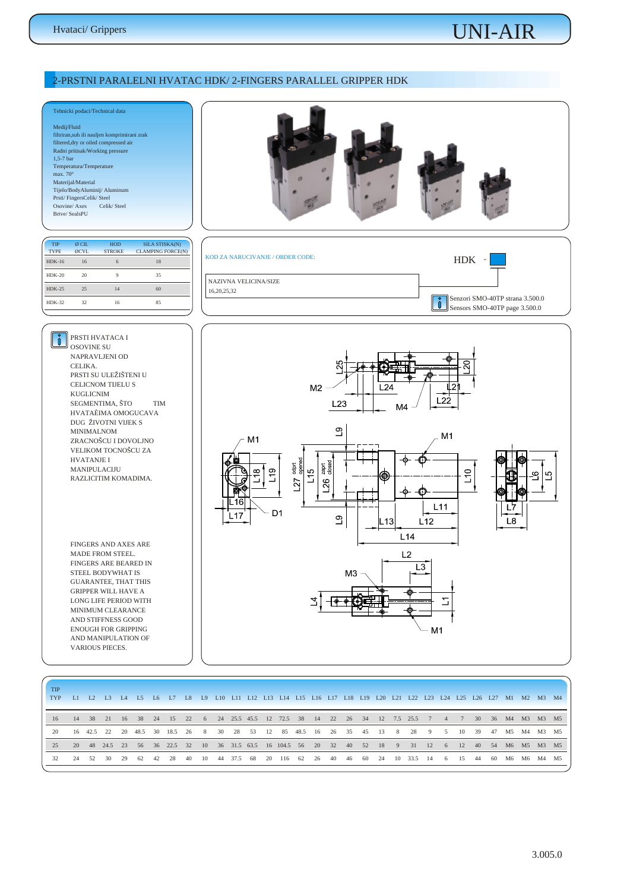*MINIMUM CLEARANCE AND STIFFNESS GOOD ENOUGH FOR GRIPPING AND MANIPULATION OF VARIOUS PIECES.* 

# *UNI-AIR*

#### *2-PRSTNI PARALELNI HVATAC HDK/ 2-FINGERS PARALLEL GRIPPER HDK*



| <b>TIP</b><br>TYP |       |               |    |     |    | L1 L2 L3 L4 L5 L6 L7 L8 L9 L10 L11 L12 L13 L14 L15 L16 L17 L18 L19 L20 L21 L22 L23 L24 L25 L26 L27 M1 M2 M3 M4 |    |      |         |      |                                            |  |  |  |                |            |                |         |                        |      |    |          |  |
|-------------------|-------|---------------|----|-----|----|----------------------------------------------------------------------------------------------------------------|----|------|---------|------|--------------------------------------------|--|--|--|----------------|------------|----------------|---------|------------------------|------|----|----------|--|
| 16                |       |               |    |     |    | 14 38 21 16 38 24 15 22 6 24 25.5 45.5 12 72.5 38 14 22 26 34 12 7.5 25.5 7 4 7 30 36 M4 M3 M3 M5              |    |      |         |      |                                            |  |  |  |                |            |                |         |                        |      |    |          |  |
| 20                |       | 16 42.5 22 20 |    |     |    | 48.5 30 18.5 26                                                                                                |    |      |         |      | 8 30 28 53 12 85 48.5 16 26 35 45 13       |  |  |  | 8 <sup>1</sup> | 28 9       | 5 <sup>5</sup> |         | 10 39 47 M5 M4 M3 M5   |      |    |          |  |
| 25                |       |               |    |     |    | 20 48 24.5 23 56 36 22.5 32                                                                                    |    |      |         |      | 10 36 31.5 63.5 16 104.5 56 20 32 40 52 18 |  |  |  |                | 9 31 12    |                |         | 6 12 40 54 M6 M5 M3 M5 |      |    |          |  |
| 32                | 24 52 | 30            | 29 | -62 | 42 | 28                                                                                                             | 40 | - 10 | 44 37.5 | - 68 | 20 116 62 26 40 46 60 24                   |  |  |  |                | 10 33.5 14 |                | 6 15 44 |                        | - 60 | M6 | M6 M4 M5 |  |
|                   |       |               |    |     |    |                                                                                                                |    |      |         |      |                                            |  |  |  |                |            |                |         |                        |      |    |          |  |

 $M<sub>1</sub>$